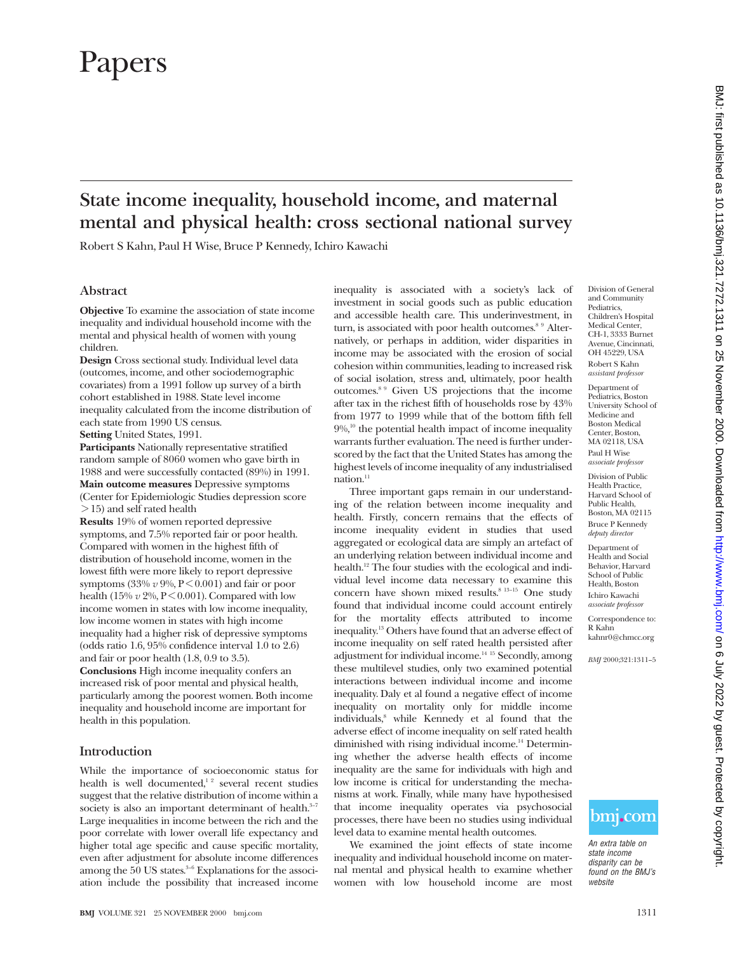# Papers

# **State income inequality, household income, and maternal mental and physical health: cross sectional national survey**

Robert S Kahn, Paul H Wise, Bruce P Kennedy, Ichiro Kawachi

## **Abstract**

**Objective** To examine the association of state income inequality and individual household income with the mental and physical health of women with young children.

**Design** Cross sectional study. Individual level data (outcomes, income, and other sociodemographic covariates) from a 1991 follow up survey of a birth cohort established in 1988. State level income inequality calculated from the income distribution of each state from 1990 US census. **Setting** United States, 1991.

**Participants** Nationally representative stratified random sample of 8060 women who gave birth in 1988 and were successfully contacted (89%) in 1991. **Main outcome measures** Depressive symptoms

(Center for Epidemiologic Studies depression score > 15) and self rated health **Results** 19% of women reported depressive

symptoms, and 7.5% reported fair or poor health. Compared with women in the highest fifth of distribution of household income, women in the lowest fifth were more likely to report depressive symptoms  $(33\% v 9\%, P < 0.001)$  and fair or poor health (15%  $v$  2%, P < 0.001). Compared with low income women in states with low income inequality, low income women in states with high income inequality had a higher risk of depressive symptoms (odds ratio 1.6, 95% confidence interval 1.0 to 2.6) and fair or poor health (1.8, 0.9 to 3.5).

**Conclusions** High income inequality confers an increased risk of poor mental and physical health, particularly among the poorest women. Both income inequality and household income are important for health in this population.

# **Introduction**

While the importance of socioeconomic status for health is well documented,<sup>12</sup> several recent studies suggest that the relative distribution of income within a society is also an important determinant of health. $3-7$ Large inequalities in income between the rich and the poor correlate with lower overall life expectancy and higher total age specific and cause specific mortality, even after adjustment for absolute income differences among the  $50$  US states. $3-6$  Explanations for the association include the possibility that increased income inequality is associated with a society's lack of investment in social goods such as public education and accessible health care. This underinvestment, in turn, is associated with poor health outcomes.<sup>8 9</sup> Alternatively, or perhaps in addition, wider disparities in income may be associated with the erosion of social cohesion within communities, leading to increased risk of social isolation, stress and, ultimately, poor health outcomes.8 9 Given US projections that the income after tax in the richest fifth of households rose by 43% from 1977 to 1999 while that of the bottom fifth fell  $9\%$ ,<sup>10</sup> the potential health impact of income inequality warrants further evaluation. The need is further underscored by the fact that the United States has among the highest levels of income inequality of any industrialised nation. $11$ 

Three important gaps remain in our understanding of the relation between income inequality and health. Firstly, concern remains that the effects of income inequality evident in studies that used aggregated or ecological data are simply an artefact of an underlying relation between individual income and health.<sup>12</sup> The four studies with the ecological and individual level income data necessary to examine this concern have shown mixed results.<sup>8 13-15</sup> One study found that individual income could account entirely for the mortality effects attributed to income inequality.13 Others have found that an adverse effect of income inequality on self rated health persisted after adjustment for individual income.14 15 Secondly, among these multilevel studies, only two examined potential interactions between individual income and income inequality. Daly et al found a negative effect of income inequality on mortality only for middle income individuals,<sup>8</sup> while Kennedy et al found that the adverse effect of income inequality on self rated health diminished with rising individual income.<sup>14</sup> Determining whether the adverse health effects of income inequality are the same for individuals with high and low income is critical for understanding the mechanisms at work. Finally, while many have hypothesised that income inequality operates via psychosocial processes, there have been no studies using individual level data to examine mental health outcomes.

We examined the joint effects of state income inequality and individual household income on maternal mental and physical health to examine whether women with low household income are most

Division of General and Community Pediatrics, Children's Hospital Medical Center, CH-1, 3333 Burnet Avenue, Cincinnati, OH 45229, USA Robert S Kahn *assistant professor*

Department of Pediatrics, Boston University School of Medicine and Boston Medical Center, Boston, MA 02118, USA Paul H Wise *associate professor*

Division of Public Health Practice, Harvard School of Public Health, Boston, MA 02115 Bruce P Kennedy *deputy director*

Department of Health and Social Behavior, Harvard School of Public Health, Boston Ichiro Kawachi *associate professor*

Correspondence to: R Kahn kahnr0@chmcc.org

*BMJ* 2000;321:1311–5



An extra table on state income disparity can be found on the BMJ's website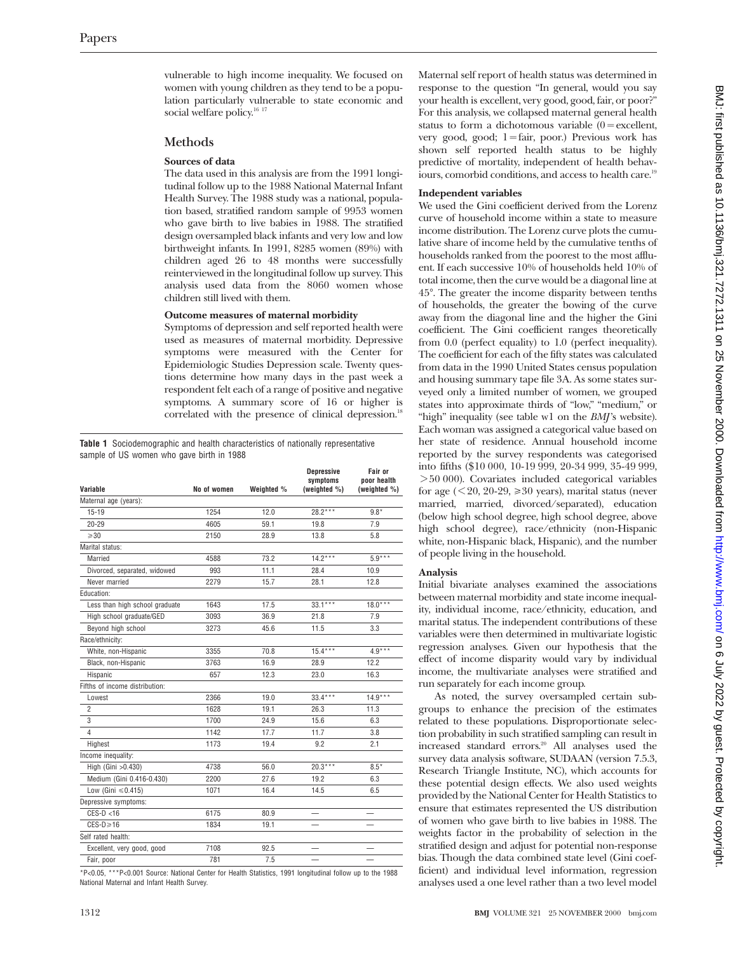vulnerable to high income inequality. We focused on women with young children as they tend to be a population particularly vulnerable to state economic and social welfare policy.<sup>16 17</sup>

#### **Methods**

#### **Sources of data**

The data used in this analysis are from the 1991 longitudinal follow up to the 1988 National Maternal Infant Health Survey. The 1988 study was a national, population based, stratified random sample of 9953 women who gave birth to live babies in 1988. The stratified design oversampled black infants and very low and low birthweight infants. In 1991, 8285 women (89%) with children aged 26 to 48 months were successfully reinterviewed in the longitudinal follow up survey. This analysis used data from the 8060 women whose children still lived with them.

#### **Outcome measures of maternal morbidity**

Symptoms of depression and self reported health were used as measures of maternal morbidity. Depressive symptoms were measured with the Center for Epidemiologic Studies Depression scale. Twenty questions determine how many days in the past week a respondent felt each of a range of positive and negative symptoms. A summary score of 16 or higher is correlated with the presence of clinical depression.<sup>18</sup>

**Table 1** Sociodemographic and health characteristics of nationally representative sample of US women who gave birth in 1988

| Variable                       | No of women | Weighted % | <b>Depressive</b><br>symptoms<br>(weighted %) | Fair or<br>poor health<br>(weighted %) |
|--------------------------------|-------------|------------|-----------------------------------------------|----------------------------------------|
| Maternal age (years):          |             |            |                                               |                                        |
| $15 - 19$                      | 1254        | 12.0       | 28.2***                                       | $9.8*$                                 |
| $20 - 29$                      | 4605        | 59.1       | 19.8                                          | 7.9                                    |
| $\geqslant$ 30                 | 2150        | 28.9       | 13.8                                          | 5.8                                    |
| Marital status:                |             |            |                                               |                                        |
| Married                        | 4588        | 73.2       | $14.2***$                                     | $5.9***$                               |
| Divorced, separated, widowed   | 993         | 11.1       | 28.4                                          | 10.9                                   |
| Never married                  | 2279        | 15.7       | 28.1                                          | 12.8                                   |
| Education:                     |             |            |                                               |                                        |
| Less than high school graduate | 1643        | 17.5       | $33.1***$                                     | $18.0***$                              |
| High school graduate/GED       | 3093        | 36.9       | 21.8                                          | 7.9                                    |
| Beyond high school             | 3273        | 45.6       | 11.5                                          | 3.3                                    |
| Race/ethnicity:                |             |            |                                               |                                        |
| White, non-Hispanic            | 3355        | 70.8       | $15.4***$                                     | $4.9***$                               |
| Black, non-Hispanic            | 3763        | 16.9       | 28.9                                          | 12.2                                   |
| Hispanic                       | 657         | 12.3       | 23.0                                          | 16.3                                   |
| Fifths of income distribution: |             |            |                                               |                                        |
| Lowest                         | 2366        | 19.0       | $33.4***$                                     | $14.9***$                              |
| $\overline{2}$                 | 1628        | 19.1       | 26.3                                          | 11.3                                   |
| 3                              | 1700        | 24.9       | 15.6                                          | 6.3                                    |
| 4                              | 1142        | 17.7       | 11.7                                          | 3.8                                    |
| Highest                        | 1173        | 19.4       | 9.2                                           | 2.1                                    |
| Income inequality:             |             |            |                                               |                                        |
| High (Gini > 0.430)            | 4738        | 56.0       | $20.3***$                                     | $8.5*$                                 |
| Medium (Gini 0.416-0.430)      | 2200        | 27.6       | 19.2                                          | 6.3                                    |
| Low (Gini $\leq 0.415$ )       | 1071        | 16.4       | 14.5                                          | 6.5                                    |
| Depressive symptoms:           |             |            |                                               |                                        |
| $CES-D < 16$                   | 6175        | 80.9       |                                               |                                        |
| $CES-D \geq 16$                | 1834        | 19.1       |                                               |                                        |
| Self rated health:             |             |            |                                               |                                        |
| Excellent, very good, good     | 7108        | 92.5       |                                               |                                        |
| Fair, poor                     | 781         | 7.5        |                                               |                                        |

\*P<0.05, \*\*\*P<0.001 Source: National Center for Health Statistics, 1991 longitudinal follow up to the 1988 National Maternal and Infant Health Survey.

Maternal self report of health status was determined in response to the question "In general, would you say your health is excellent, very good, good, fair, or poor?" For this analysis, we collapsed maternal general health status to form a dichotomous variable  $(0 = \text{excellent},$ very good, good; 1=fair, poor.) Previous work has shown self reported health status to be highly predictive of mortality, independent of health behaviours, comorbid conditions, and access to health care.<sup>19</sup>

#### **Independent variables**

We used the Gini coefficient derived from the Lorenz curve of household income within a state to measure income distribution. The Lorenz curve plots the cumulative share of income held by the cumulative tenths of households ranked from the poorest to the most affluent. If each successive 10% of households held 10% of total income, then the curve would be a diagonal line at 45°. The greater the income disparity between tenths of households, the greater the bowing of the curve away from the diagonal line and the higher the Gini coefficient. The Gini coefficient ranges theoretically from 0.0 (perfect equality) to 1.0 (perfect inequality). The coefficient for each of the fifty states was calculated from data in the 1990 United States census population and housing summary tape file 3A. As some states surveyed only a limited number of women, we grouped states into approximate thirds of "low," "medium," or "high" inequality (see table w1 on the *BMJ*'s website). Each woman was assigned a categorical value based on her state of residence. Annual household income reported by the survey respondents was categorised into fifths (\$10 000, 10-19 999, 20-34 999, 35-49 999, > 50 000). Covariates included categorical variables for age  $( $20, 20-29, \geq 30$  years), marital status (never$ married, married, divorced/separated), education (below high school degree, high school degree, above high school degree), race/ethnicity (non-Hispanic white, non-Hispanic black, Hispanic), and the number of people living in the household.

#### **Analysis**

Initial bivariate analyses examined the associations between maternal morbidity and state income inequality, individual income, race/ethnicity, education, and marital status. The independent contributions of these variables were then determined in multivariate logistic regression analyses. Given our hypothesis that the effect of income disparity would vary by individual income, the multivariate analyses were stratified and run separately for each income group.

As noted, the survey oversampled certain subgroups to enhance the precision of the estimates related to these populations. Disproportionate selection probability in such stratified sampling can result in increased standard errors.20 All analyses used the survey data analysis software, SUDAAN (version 7.5.3, Research Triangle Institute, NC), which accounts for these potential design effects. We also used weights provided by the National Center for Health Statistics to ensure that estimates represented the US distribution of women who gave birth to live babies in 1988. The weights factor in the probability of selection in the stratified design and adjust for potential non-response bias. Though the data combined state level (Gini coefficient) and individual level information, regression analyses used a one level rather than a two level model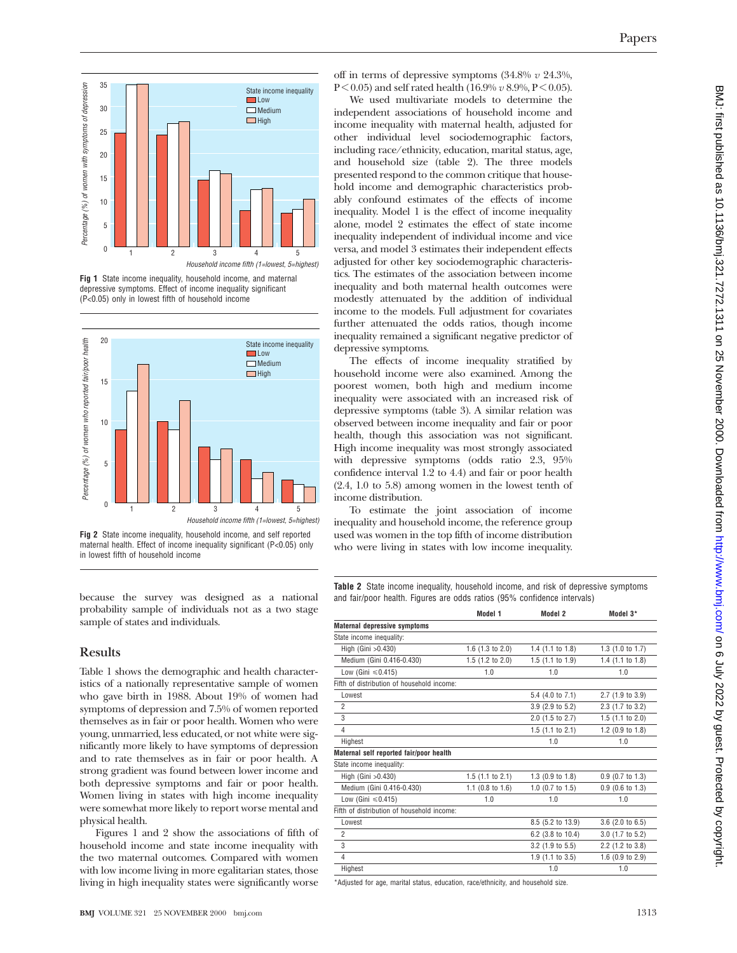

**Fig 1** State income inequality, household income, and maternal depressive symptoms. Effect of income inequality significant (P<0.05) only in lowest fifth of household income



**Fig 2** State income inequality, household income, and self reported

because the survey was designed as a national probability sample of individuals not as a two stage sample of states and individuals.

# **Results**

Table 1 shows the demographic and health characteristics of a nationally representative sample of women who gave birth in 1988. About 19% of women had symptoms of depression and 7.5% of women reported themselves as in fair or poor health. Women who were young, unmarried, less educated, or not white were significantly more likely to have symptoms of depression and to rate themselves as in fair or poor health. A strong gradient was found between lower income and both depressive symptoms and fair or poor health. Women living in states with high income inequality were somewhat more likely to report worse mental and physical health.

Figures 1 and 2 show the associations of fifth of household income and state income inequality with the two maternal outcomes. Compared with women with low income living in more egalitarian states, those living in high inequality states were significantly worse

off in terms of depressive symptoms (34.8% *v* 24.3%,  $P < 0.05$ ) and self rated health (16.9%  $v$  8.9%,  $P < 0.05$ ).

We used multivariate models to determine the independent associations of household income and income inequality with maternal health, adjusted for other individual level sociodemographic factors, including race/ethnicity, education, marital status, age, and household size (table 2). The three models presented respond to the common critique that household income and demographic characteristics probably confound estimates of the effects of income inequality. Model 1 is the effect of income inequality alone, model 2 estimates the effect of state income inequality independent of individual income and vice versa, and model 3 estimates their independent effects adjusted for other key sociodemographic characteristics. The estimates of the association between income inequality and both maternal health outcomes were modestly attenuated by the addition of individual income to the models. Full adjustment for covariates further attenuated the odds ratios, though income inequality remained a significant negative predictor of depressive symptoms.

The effects of income inequality stratified by household income were also examined. Among the poorest women, both high and medium income inequality were associated with an increased risk of depressive symptoms (table 3). A similar relation was observed between income inequality and fair or poor health, though this association was not significant. High income inequality was most strongly associated with depressive symptoms (odds ratio 2.3, 95% confidence interval 1.2 to 4.4) and fair or poor health (2.4, 1.0 to 5.8) among women in the lowest tenth of income distribution.

To estimate the joint association of income inequality and household income, the reference group used was women in the top fifth of income distribution who were living in states with low income inequality.

**Table 2** State income inequality, household income, and risk of depressive symptoms and fair/poor health. Figures are odds ratios (95% confidence intervals)

|                                            | Model 1                     | Model 2                     | Model 3*                    |
|--------------------------------------------|-----------------------------|-----------------------------|-----------------------------|
| <b>Maternal depressive symptoms</b>        |                             |                             |                             |
| State income inequality:                   |                             |                             |                             |
| High (Gini > 0.430)                        | 1.6 $(1.3$ to 2.0)          | 1.4 $(1.1 \text{ to } 1.8)$ | 1.3(1.0 to 1.7)             |
| Medium (Gini 0.416-0.430)                  | 1.5 $(1.2$ to 2.0)          | $1.5$ (1.1 to 1.9)          | 1.4 $(1.1 \text{ to } 1.8)$ |
| Low (Gini $\leq 0.415$ )                   | 1.0                         | 1.0                         | 1.0                         |
| Fifth of distribution of household income: |                             |                             |                             |
| Lowest                                     |                             | 5.4 (4.0 to 7.1)            | 2.7 (1.9 to 3.9)            |
| $\overline{2}$                             |                             | 3.9 (2.9 to 5.2)            | 2.3 (1.7 to 3.2)            |
| 3                                          |                             | 2.0 (1.5 to 2.7)            | $1.5$ (1.1 to 2.0)          |
| $\overline{4}$                             |                             | 1.5 $(1.1$ to 2.1)          | 1.2 $(0.9 \text{ to } 1.8)$ |
| Highest                                    |                             | 1.0                         | 1.0                         |
| Maternal self reported fair/poor health    |                             |                             |                             |
| State income inequality:                   |                             |                             |                             |
| High (Gini > 0.430)                        | $1.5$ (1.1 to 2.1)          | 1.3 (0.9 to 1.8)            | $0.9$ (0.7 to 1.3)          |
| Medium (Gini 0.416-0.430)                  | 1.1 $(0.8 \text{ to } 1.6)$ | $1.0$ (0.7 to $1.5$ )       | $0.9$ (0.6 to 1.3)          |
| Low (Gini $\leq 0.415$ )                   | 1.0                         | 1.0                         | 1.0                         |
| Fifth of distribution of household income: |                             |                             |                             |
| Lowest                                     |                             | 8.5 (5.2 to 13.9)           | $3.6$ (2.0 to 6.5)          |
| $\overline{2}$                             |                             | 6.2 (3.8 to 10.4)           | 3.0 (1.7 to 5.2)            |
| 3                                          |                             | 3.2 (1.9 to 5.5)            | 2.2 (1.2 to 3.8)            |
| $\overline{4}$                             |                             | 1.9 (1.1 to 3.5)            | 1.6 $(0.9 \text{ to } 2.9)$ |
| Highest                                    |                             | 1.0                         | 1.0                         |

\*Adjusted for age, marital status, education, race/ethnicity, and household size.

maternal health. Effect of income inequality significant (P<0.05) only in lowest fifth of household income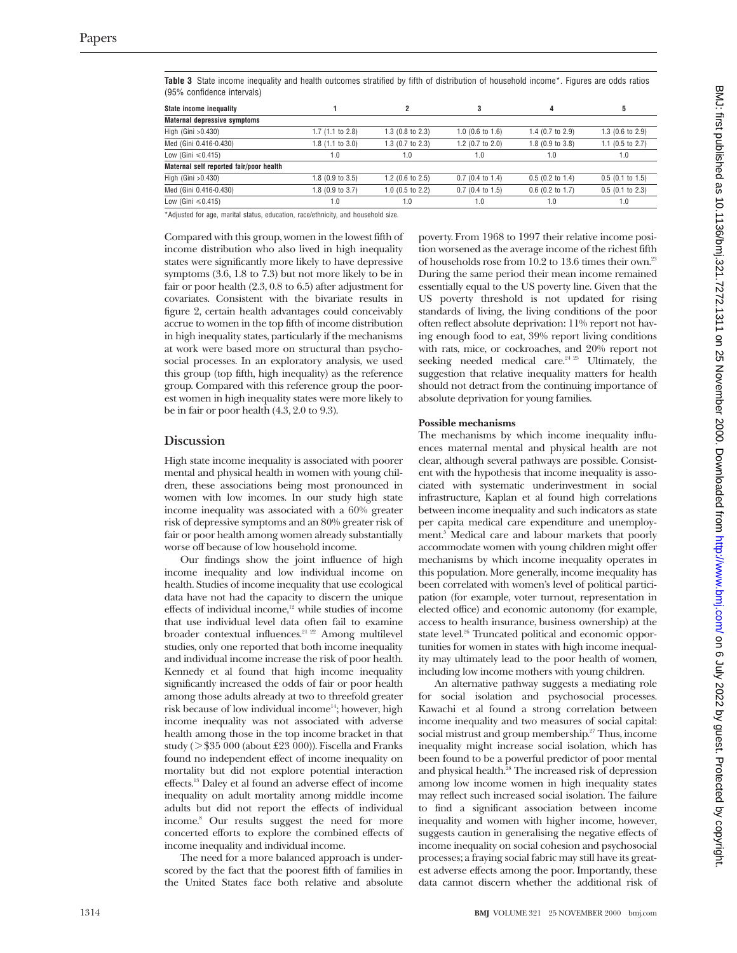| $190,000$ comparing the range $\sqrt{2}$ |                             |                             |                             |                             |                    |
|------------------------------------------|-----------------------------|-----------------------------|-----------------------------|-----------------------------|--------------------|
| State income inequality                  |                             |                             | 3                           | 4                           | 5                  |
| <b>Maternal depressive symptoms</b>      |                             |                             |                             |                             |                    |
| High (Gini > 0.430)                      | 1.7(1.1 to 2.8)             | 1.3 $(0.8 \text{ to } 2.3)$ | $1.0$ (0.6 to $1.6$ )       | 1.4 $(0.7 \text{ to } 2.9)$ | $1.3$ (0.6 to 2.9) |
| Med (Gini 0.416-0.430)                   | $1.8$ (1.1 to 3.0)          | $1.3$ (0.7 to 2.3)          | 1.2 $(0.7 \text{ to } 2.0)$ | 1.8 (0.9 to 3.8)            | 1.1 (0.5 to 2.7)   |
| Low (Gini $\leq 0.415$ )                 | 1.0                         | 1.0                         | 1.0                         | 1.0                         | 1.0                |
| Maternal self reported fair/poor health  |                             |                             |                             |                             |                    |
| High (Gini > 0.430)                      | $1.8$ (0.9 to 3.5)          | 1.2 $(0.6 \text{ to } 2.5)$ | $0.7$ (0.4 to 1.4)          | $0.5$ (0.2 to 1.4)          | $0.5$ (0.1 to 1.5) |
| Med (Gini 0.416-0.430)                   | 1.8 $(0.9 \text{ to } 3.7)$ | $1.0$ (0.5 to 2.2)          | $0.7$ (0.4 to 1.5)          | $0.6$ (0.2 to 1.7)          | $0.5$ (0.1 to 2.3) |
| Low (Gini $\leq 0.415$ )                 | 1.0                         | 1.0                         | 1.0                         | 1.0                         | 1.0                |

**Table 3** State income inequality and health outcomes stratified by fifth of distribution of household income\*. Figures are odds ratios (95% confidence intervals)

\*Adjusted for age, marital status, education, race/ethnicity, and household size.

Compared with this group, women in the lowest fifth of income distribution who also lived in high inequality states were significantly more likely to have depressive symptoms (3.6, 1.8 to 7.3) but not more likely to be in fair or poor health (2.3, 0.8 to 6.5) after adjustment for covariates. Consistent with the bivariate results in figure 2, certain health advantages could conceivably accrue to women in the top fifth of income distribution in high inequality states, particularly if the mechanisms at work were based more on structural than psychosocial processes. In an exploratory analysis, we used this group (top fifth, high inequality) as the reference group. Compared with this reference group the poorest women in high inequality states were more likely to be in fair or poor health (4.3, 2.0 to 9.3).

#### **Discussion**

High state income inequality is associated with poorer mental and physical health in women with young children, these associations being most pronounced in women with low incomes. In our study high state income inequality was associated with a 60% greater risk of depressive symptoms and an 80% greater risk of fair or poor health among women already substantially worse off because of low household income.

Our findings show the joint influence of high income inequality and low individual income on health. Studies of income inequality that use ecological data have not had the capacity to discern the unique effects of individual income,<sup>12</sup> while studies of income that use individual level data often fail to examine broader contextual influences.<sup>21 22</sup> Among multilevel studies, only one reported that both income inequality and individual income increase the risk of poor health. Kennedy et al found that high income inequality significantly increased the odds of fair or poor health among those adults already at two to threefold greater risk because of low individual income<sup>14</sup>; however, high income inequality was not associated with adverse health among those in the top income bracket in that study ( $> $35,000$  (about £23,000)). Fiscella and Franks found no independent effect of income inequality on mortality but did not explore potential interaction effects.13 Daley et al found an adverse effect of income inequality on adult mortality among middle income adults but did not report the effects of individual income.8 Our results suggest the need for more concerted efforts to explore the combined effects of income inequality and individual income.

The need for a more balanced approach is underscored by the fact that the poorest fifth of families in the United States face both relative and absolute

poverty. From 1968 to 1997 their relative income position worsened as the average income of the richest fifth of households rose from 10.2 to 13.6 times their own.23 During the same period their mean income remained essentially equal to the US poverty line. Given that the US poverty threshold is not updated for rising standards of living, the living conditions of the poor often reflect absolute deprivation: 11% report not having enough food to eat, 39% report living conditions with rats, mice, or cockroaches, and 20% report not seeking needed medical care.<sup>24 25</sup> Ultimately, the suggestion that relative inequality matters for health should not detract from the continuing importance of absolute deprivation for young families.

#### **Possible mechanisms**

The mechanisms by which income inequality influences maternal mental and physical health are not clear, although several pathways are possible. Consistent with the hypothesis that income inequality is associated with systematic underinvestment in social infrastructure, Kaplan et al found high correlations between income inequality and such indicators as state per capita medical care expenditure and unemployment.<sup>5</sup> Medical care and labour markets that poorly accommodate women with young children might offer mechanisms by which income inequality operates in this population. More generally, income inequality has been correlated with women's level of political participation (for example, voter turnout, representation in elected office) and economic autonomy (for example, access to health insurance, business ownership) at the state level.<sup>26</sup> Truncated political and economic opportunities for women in states with high income inequality may ultimately lead to the poor health of women, including low income mothers with young children.

An alternative pathway suggests a mediating role for social isolation and psychosocial processes. Kawachi et al found a strong correlation between income inequality and two measures of social capital: social mistrust and group membership.<sup>27</sup> Thus, income inequality might increase social isolation, which has been found to be a powerful predictor of poor mental and physical health.28 The increased risk of depression among low income women in high inequality states may reflect such increased social isolation. The failure to find a significant association between income inequality and women with higher income, however, suggests caution in generalising the negative effects of income inequality on social cohesion and psychosocial processes; a fraying social fabric may still have its greatest adverse effects among the poor. Importantly, these data cannot discern whether the additional risk of